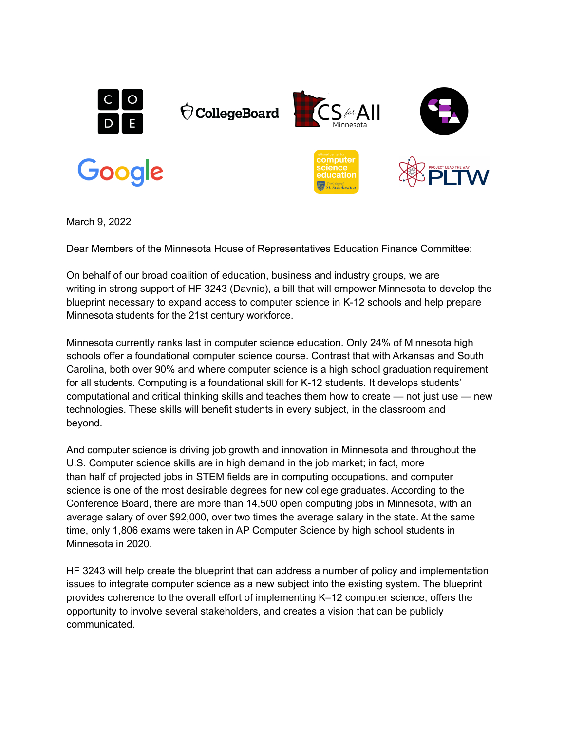

March 9, 2022

Dear Members of the Minnesota House of Representatives Education Finance Committee:

On behalf of our broad coalition of education, business and industry groups, we are writing in strong support of HF 3243 (Davnie), a bill that will empower Minnesota to develop the blueprint necessary to expand access to computer science in K-12 schools and help prepare Minnesota students for the 21st century workforce.

Minnesota currently ranks last in computer science education. Only 24% of Minnesota high schools offer a foundational computer science course. Contrast that with Arkansas and South Carolina, both over 90% and where computer science is a high school graduation requirement for all students. Computing is a foundational skill for K-12 students. It develops students' computational and critical thinking skills and teaches them how to create — not just use — new technologies. These skills will benefit students in every subject, in the classroom and beyond.

And computer science is driving job growth and innovation in Minnesota and throughout the U.S. Computer science skills are in high demand in the job market; in fact, more than half of projected jobs in STEM fields are in computing occupations, and computer science is one of the most desirable degrees for new college graduates. According to the Conference Board, there are more than 14,500 open computing jobs in Minnesota, with an average salary of over \$92,000, over two times the average salary in the state. At the same time, only 1,806 exams were taken in AP Computer Science by high school students in Minnesota in 2020.

HF 3243 will help create the blueprint that can address a number of policy and implementation issues to integrate computer science as a new subject into the existing system. The blueprint provides coherence to the overall effort of implementing K–12 computer science, offers the opportunity to involve several stakeholders, and creates a vision that can be publicly communicated.